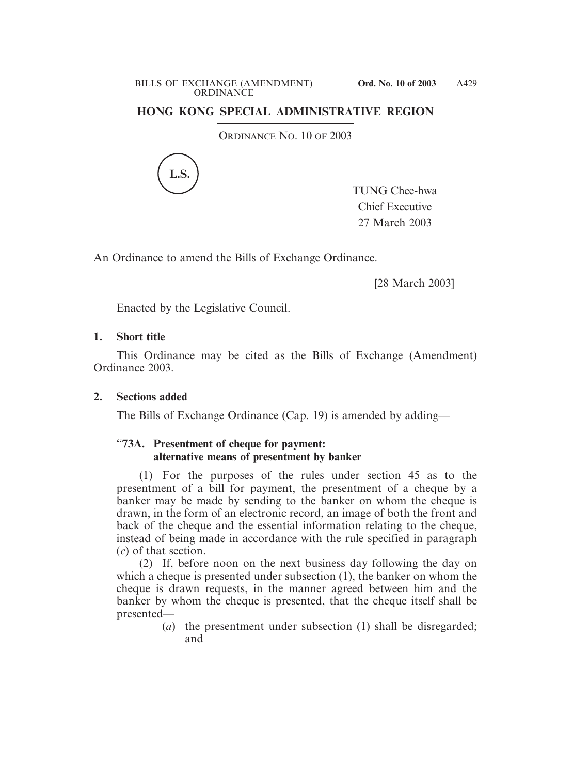## **HONG KONG SPECIAL ADMINISTRATIVE REGION**

ORDINANCE NO. 10 OF 2003



TUNG Chee-hwa Chief Executive 27 March 2003

An Ordinance to amend the Bills of Exchange Ordinance.

[28 March 2003]

Enacted by the Legislative Council.

## **1. Short title**

This Ordinance may be cited as the Bills of Exchange (Amendment) Ordinance 2003.

## **2. Sections added**

The Bills of Exchange Ordinance (Cap. 19) is amended by adding—

## "**73A. Presentment of cheque for payment: alternative means of presentment by banker**

(1) For the purposes of the rules under section 45 as to the presentment of a bill for payment, the presentment of a cheque by a banker may be made by sending to the banker on whom the cheque is drawn, in the form of an electronic record, an image of both the front and back of the cheque and the essential information relating to the cheque, instead of being made in accordance with the rule specified in paragraph (*c*) of that section.

(2) If, before noon on the next business day following the day on which a cheque is presented under subsection (1), the banker on whom the cheque is drawn requests, in the manner agreed between him and the banker by whom the cheque is presented, that the cheque itself shall be presented—

(*a*) the presentment under subsection (1) shall be disregarded; and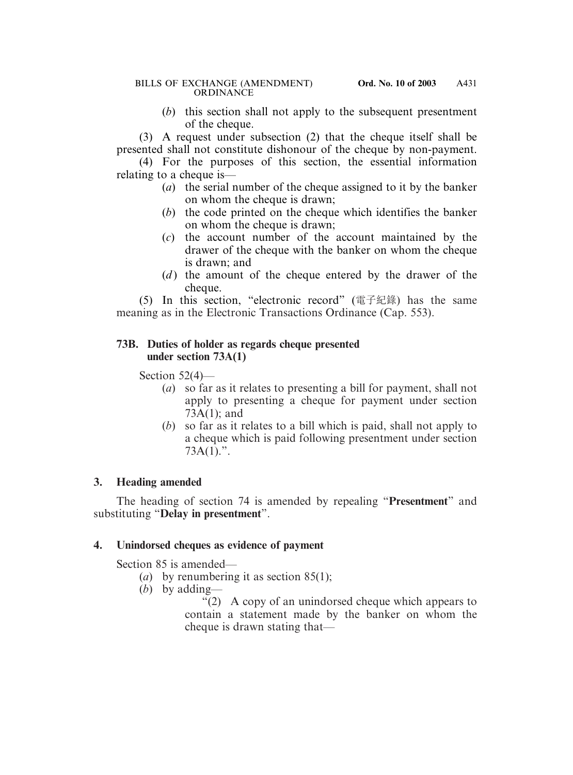### BILLS OF EXCHANGE (AMENDMENT) **Ord. No. 10 of 2003 ORDINANCE**

(*b*) this section shall not apply to the subsequent presentment of the cheque.

(3) A request under subsection (2) that the cheque itself shall be presented shall not constitute dishonour of the cheque by non-payment.

(4) For the purposes of this section, the essential information relating to a cheque is—

- (*a*) the serial number of the cheque assigned to it by the banker on whom the cheque is drawn;
- (*b*) the code printed on the cheque which identifies the banker on whom the cheque is drawn;
- (*c*) the account number of the account maintained by the drawer of the cheque with the banker on whom the cheque is drawn; and
- (*d*) the amount of the cheque entered by the drawer of the cheque.

(5) In this section, "electronic record" (電子紀錄) has the same meaning as in the Electronic Transactions Ordinance (Cap. 553).

## **73B. Duties of holder as regards cheque presented under section 73A(1)**

Section 52(4)—

- (*a*) so far as it relates to presenting a bill for payment, shall not apply to presenting a cheque for payment under section 73A(1); and
- (*b*) so far as it relates to a bill which is paid, shall not apply to a cheque which is paid following presentment under section  $73A(1)$ .".

# **3. Heading amended**

The heading of section 74 is amended by repealing "**Presentment**" and substituting "**Delay in presentment**".

# **4. Unindorsed cheques as evidence of payment**

Section 85 is amended—

- (*a*) by renumbering it as section 85(1);
- (*b*) by adding—

 $f(2)$  A copy of an unindorsed cheque which appears to contain a statement made by the banker on whom the cheque is drawn stating that—